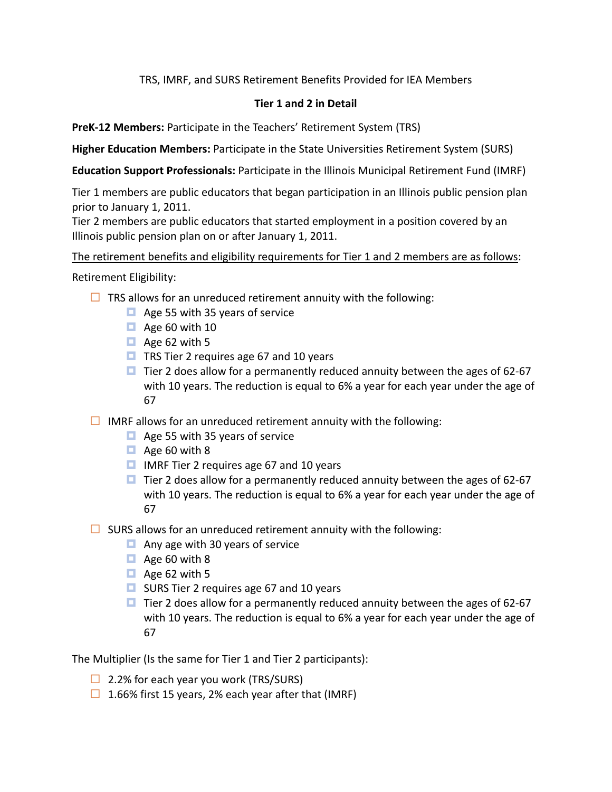TRS, IMRF, and SURS Retirement Benefits Provided for IEA Members

## **Tier 1 and 2 in Detail**

**PreK-12 Members:** Participate in the Teachers' Retirement System (TRS)

**Higher Education Members:** Participate in the State Universities Retirement System (SURS)

**Education Support Professionals:** Participate in the Illinois Municipal Retirement Fund (IMRF)

Tier 1 members are public educators that began participation in an Illinois public pension plan prior to January 1, 2011.

Tier 2 members are public educators that started employment in a position covered by an Illinois public pension plan on or after January 1, 2011.

The retirement benefits and eligibility requirements for Tier 1 and 2 members are as follows:

Retirement Eligibility:

- $\Box$  TRS allows for an unreduced retirement annuity with the following:
	- $\Box$  Age 55 with 35 years of service
	- $\Box$  Age 60 with 10
	- $\Box$  Age 62 with 5
	- **□** TRS Tier 2 requires age 67 and 10 years
	- $\Box$  Tier 2 does allow for a permanently reduced annuity between the ages of 62-67 with 10 years. The reduction is equal to 6% a year for each year under the age of 67
- $\Box$  IMRF allows for an unreduced retirement annuity with the following:
	- $\blacksquare$  Age 55 with 35 years of service
	- $\Box$  Age 60 with 8
	- $\Box$  IMRF Tier 2 requires age 67 and 10 years
	- $\Box$  Tier 2 does allow for a permanently reduced annuity between the ages of 62-67 with 10 years. The reduction is equal to 6% a year for each year under the age of 67
- $\Box$  SURS allows for an unreduced retirement annuity with the following:
	- $\Box$  Any age with 30 years of service
	- $\Box$  Age 60 with 8
	- $\Box$  Age 62 with 5
	- **□** SURS Tier 2 requires age 67 and 10 years
	- $\blacksquare$  Tier 2 does allow for a permanently reduced annuity between the ages of 62-67 with 10 years. The reduction is equal to 6% a year for each year under the age of 67

The Multiplier (Is the same for Tier 1 and Tier 2 participants):

- $\Box$  2.2% for each year you work (TRS/SURS)
- $\Box$  1.66% first 15 years, 2% each year after that (IMRF)